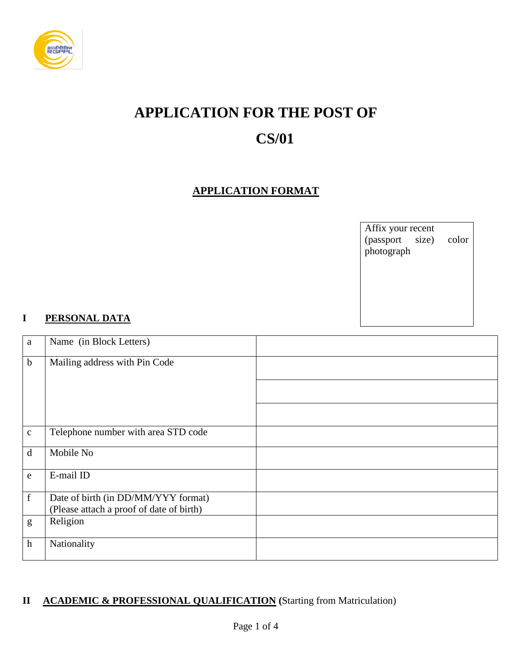

# **APPLICATION FOR THE POST OF**

## **CS/01**

#### **APPLICATION FORMAT**

Affix your recent (passport size) color photograph

#### **I PERSONAL DATA**

| a            | Name (in Block Letters)                                                         |  |
|--------------|---------------------------------------------------------------------------------|--|
| $\mathbf b$  | Mailing address with Pin Code                                                   |  |
|              |                                                                                 |  |
|              |                                                                                 |  |
| $\mathbf{C}$ | Telephone number with area STD code                                             |  |
| d            | Mobile No                                                                       |  |
| e            | E-mail ID                                                                       |  |
| $\mathbf f$  | Date of birth (in DD/MM/YYY format)<br>(Please attach a proof of date of birth) |  |
| g            | Religion                                                                        |  |
| $\mathbf h$  | Nationality                                                                     |  |

#### **II ACADEMIC & PROFESSIONAL QUALIFICATION (**Starting from Matriculation)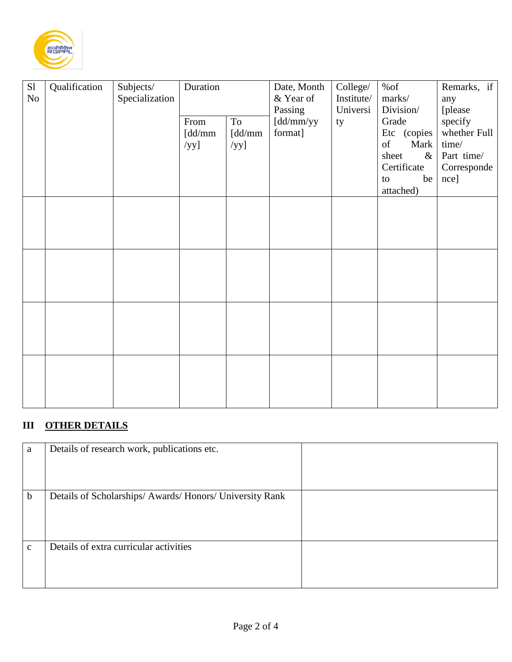

| S1 | Qualification | Subjects/      | Duration |         | Date, Month | College/   | %of           | Remarks, if  |
|----|---------------|----------------|----------|---------|-------------|------------|---------------|--------------|
| No |               | Specialization |          |         | & Year of   | Institute/ | marks/        | any          |
|    |               |                |          |         | Passing     | Universi   | Division/     | [please      |
|    |               |                | From     | To      | [dd/mm/yy   | ty         | Grade         | specify      |
|    |               |                | [dd/mm   | [dd/mm  | format]     |            | Etc (copies   | whether Full |
|    |               |                | $/yy$ ]  | $/yy$ ] |             |            | of<br>Mark    | time/        |
|    |               |                |          |         |             |            | sheet<br>$\&$ | Part time/   |
|    |               |                |          |         |             |            | Certificate   | Corresponde  |
|    |               |                |          |         |             |            | be<br>to      | nce]         |
|    |               |                |          |         |             |            | attached)     |              |
|    |               |                |          |         |             |            |               |              |
|    |               |                |          |         |             |            |               |              |
|    |               |                |          |         |             |            |               |              |
|    |               |                |          |         |             |            |               |              |
|    |               |                |          |         |             |            |               |              |
|    |               |                |          |         |             |            |               |              |
|    |               |                |          |         |             |            |               |              |
|    |               |                |          |         |             |            |               |              |
|    |               |                |          |         |             |            |               |              |
|    |               |                |          |         |             |            |               |              |
|    |               |                |          |         |             |            |               |              |
|    |               |                |          |         |             |            |               |              |
|    |               |                |          |         |             |            |               |              |
|    |               |                |          |         |             |            |               |              |
|    |               |                |          |         |             |            |               |              |
|    |               |                |          |         |             |            |               |              |
|    |               |                |          |         |             |            |               |              |
|    |               |                |          |         |             |            |               |              |

### **III OTHER DETAILS**

| a            | Details of research work, publications etc.              |  |
|--------------|----------------------------------------------------------|--|
| $\mathbf b$  | Details of Scholarships/ Awards/ Honors/ University Rank |  |
| $\mathbf{C}$ | Details of extra curricular activities                   |  |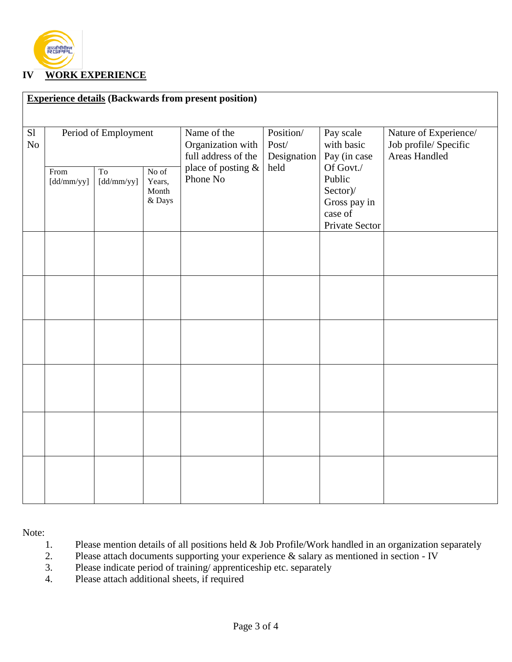

#### **IV WORK EXPERIENCE**

| <b>Experience details (Backwards from present position)</b> |                      |                              |                                    |                                                         |                                   |                                                                              |                                                                 |
|-------------------------------------------------------------|----------------------|------------------------------|------------------------------------|---------------------------------------------------------|-----------------------------------|------------------------------------------------------------------------------|-----------------------------------------------------------------|
| S1<br>No                                                    | Period of Employment |                              |                                    | Name of the<br>Organization with<br>full address of the | Position/<br>Post/<br>Designation | Pay scale<br>with basic<br>Pay (in case                                      | Nature of Experience/<br>Job profile/ Specific<br>Areas Handled |
|                                                             | From<br>[dd/mm/yy]   | T <sub>o</sub><br>[dd/mm/yy] | No of<br>Years,<br>Month<br>& Days | place of posting &<br>Phone No                          | held                              | Of Govt./<br>Public<br>Sector)/<br>Gross pay in<br>case of<br>Private Sector |                                                                 |
|                                                             |                      |                              |                                    |                                                         |                                   |                                                                              |                                                                 |
|                                                             |                      |                              |                                    |                                                         |                                   |                                                                              |                                                                 |
|                                                             |                      |                              |                                    |                                                         |                                   |                                                                              |                                                                 |
|                                                             |                      |                              |                                    |                                                         |                                   |                                                                              |                                                                 |
|                                                             |                      |                              |                                    |                                                         |                                   |                                                                              |                                                                 |
|                                                             |                      |                              |                                    |                                                         |                                   |                                                                              |                                                                 |

Note:

- 1. Please mention details of all positions held & Job Profile/Work handled in an organization separately
- 2. Please attach documents supporting your experience & salary as mentioned in section IV
- 3. Please indicate period of training/ apprenticeship etc. separately
- 4. Please attach additional sheets, if required